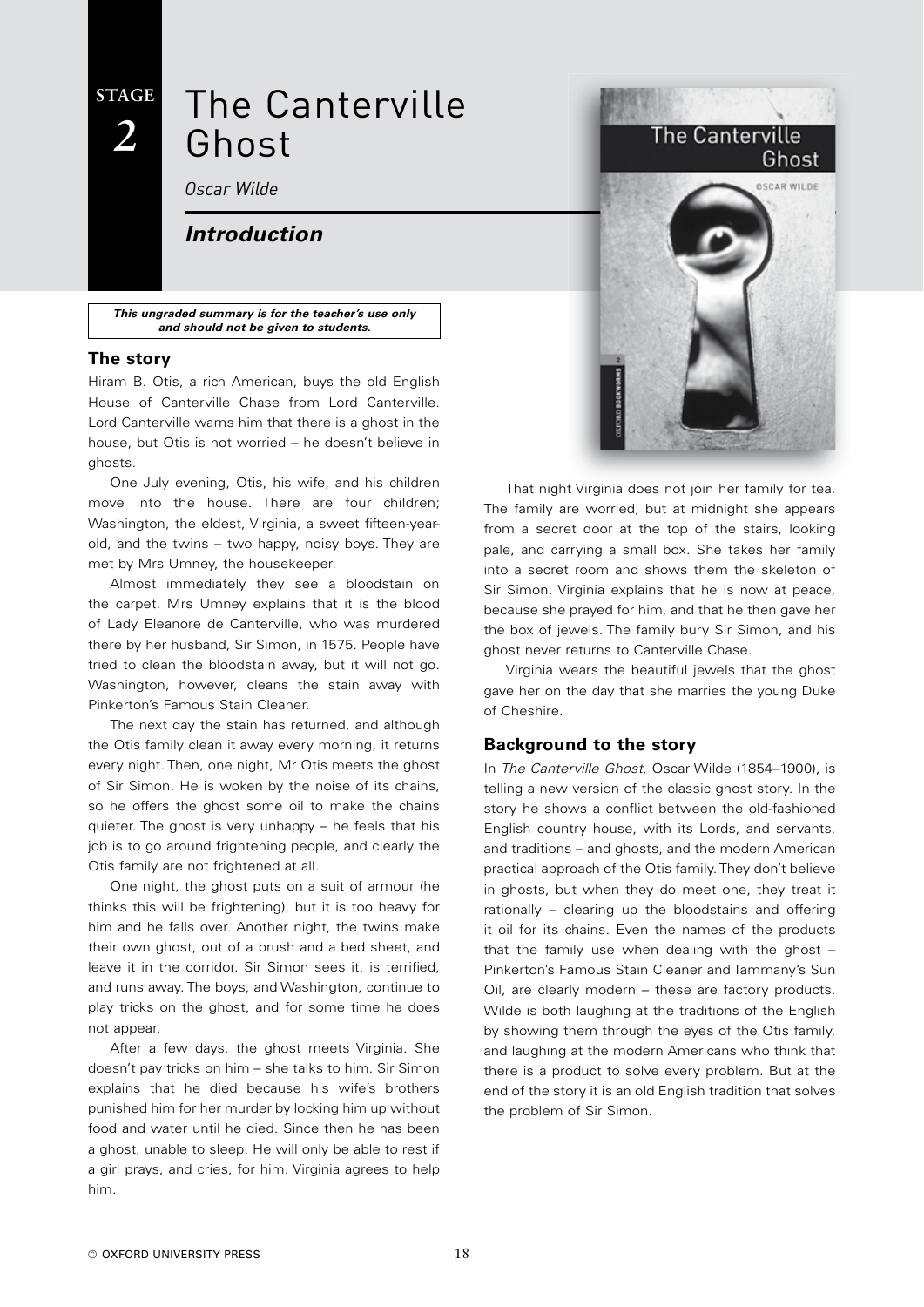### **STAGE** *2*

## The Canterville Ghost

*Oscar Wilde*

#### *Introduction*

*This ungraded summary is for the teacher's use only and should not be given to students.*

#### **The story**

Hiram B. Otis, a rich American, buys the old English House of Canterville Chase from Lord Canterville. Lord Canterville warns him that there is a ghost in the house, but Otis is not worried – he doesn't believe in ghosts.

One July evening, Otis, his wife, and his children move into the house. There are four children; Washington, the eldest, Virginia, a sweet fifteen-yearold, and the twins – two happy, noisy boys. They are met by Mrs Umney, the housekeeper.

Almost immediately they see a bloodstain on the carpet. Mrs Umney explains that it is the blood of Lady Eleanore de Canterville, who was murdered there by her husband, Sir Simon, in 1575. People have tried to clean the bloodstain away, but it will not go. Washington, however, cleans the stain away with Pinkerton's Famous Stain Cleaner.

The next day the stain has returned, and although the Otis family clean it away every morning, it returns every night. Then, one night, Mr Otis meets the ghost of Sir Simon. He is woken by the noise of its chains, so he offers the ghost some oil to make the chains quieter. The ghost is very unhappy – he feels that his job is to go around frightening people, and clearly the Otis family are not frightened at all.

One night, the ghost puts on a suit of armour (he thinks this will be frightening), but it is too heavy for him and he falls over. Another night, the twins make their own ghost, out of a brush and a bed sheet, and leave it in the corridor. Sir Simon sees it, is terrified, and runs away. The boys, and Washington, continue to play tricks on the ghost, and for some time he does not appear.

After a few days, the ghost meets Virginia. She doesn't pay tricks on him – she talks to him. Sir Simon explains that he died because his wife's brothers punished him for her murder by locking him up without food and water until he died. Since then he has been a ghost, unable to sleep. He will only be able to rest if a girl prays, and cries, for him. Virginia agrees to help him.



That night Virginia does not join her family for tea. The family are worried, but at midnight she appears from a secret door at the top of the stairs, looking pale, and carrying a small box. She takes her family into a secret room and shows them the skeleton of Sir Simon. Virginia explains that he is now at peace, because she prayed for him, and that he then gave her the box of jewels. The family bury Sir Simon, and his ghost never returns to Canterville Chase.

Virginia wears the beautiful jewels that the ghost gave her on the day that she marries the young Duke of Cheshire.

#### **Background to the story**

In *The Canterville Ghost*, Oscar Wilde (1854–1900), is telling a new version of the classic ghost story. In the story he shows a conflict between the old-fashioned English country house, with its Lords, and servants, and traditions – and ghosts, and the modern American practical approach of the Otis family. They don't believe in ghosts, but when they do meet one, they treat it rationally – clearing up the bloodstains and offering it oil for its chains. Even the names of the products that the family use when dealing with the ghost – Pinkerton's Famous Stain Cleaner and Tammany's Sun Oil, are clearly modern – these are factory products. Wilde is both laughing at the traditions of the English by showing them through the eyes of the Otis family, and laughing at the modern Americans who think that there is a product to solve every problem. But at the end of the story it is an old English tradition that solves the problem of Sir Simon.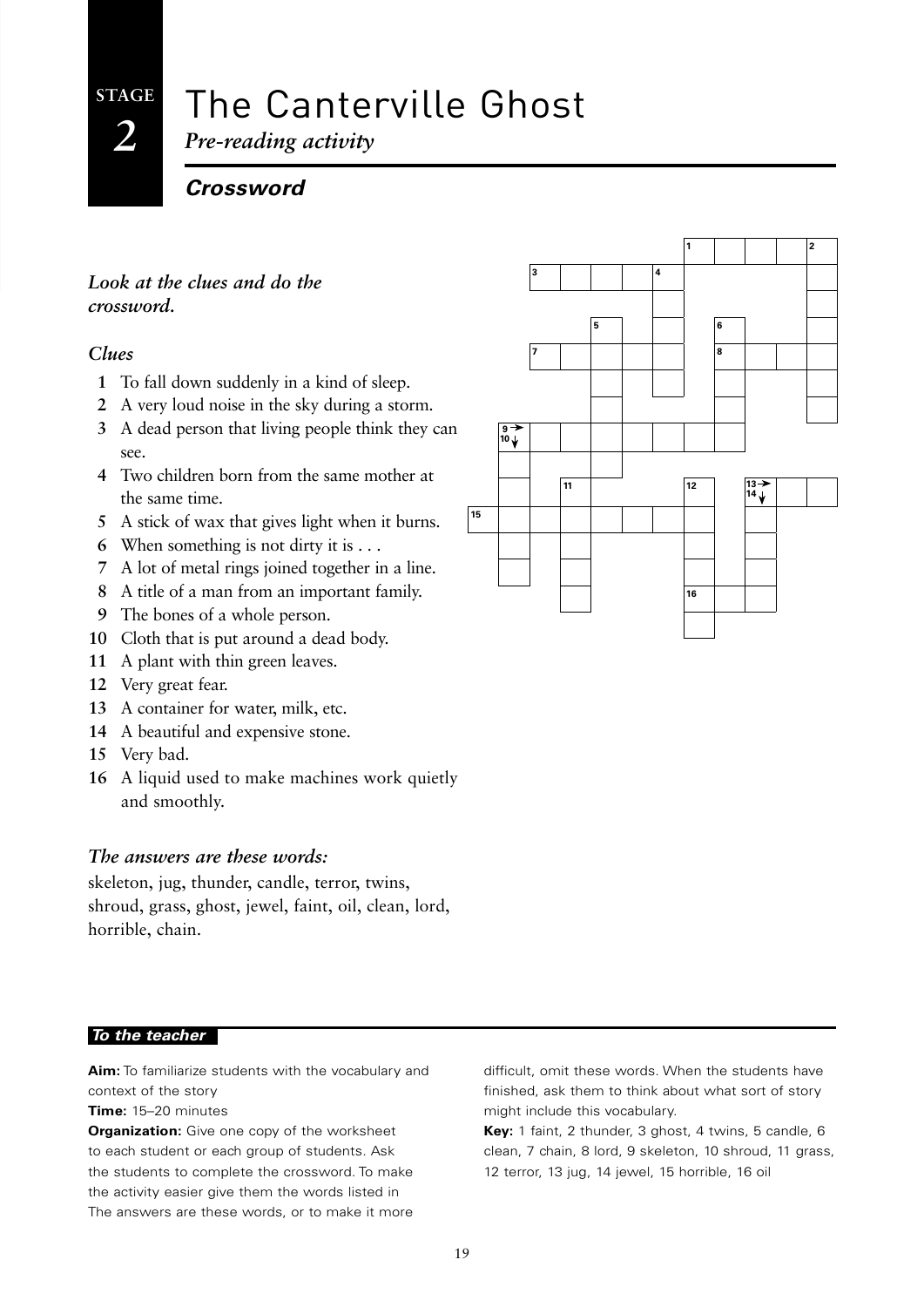## The Canterville Ghost

*Pre-reading activity*

*Crossword*

#### *Look at the clues and do the crossword.*

#### *Clues*

- **1** To fall down suddenly in a kind of sleep.
- **2** A very loud noise in the sky during a storm.
- **3** A dead person that living people think they can see.
- **4** Two children born from the same mother at the same time.
- **5** A stick of wax that gives light when it burns.
- **6** When something is not dirty it is . . .
- **7** A lot of metal rings joined together in a line.
- **8** A title of a man from an important family.
- **9** The bones of a whole person.
- **10** Cloth that is put around a dead body.
- **11** A plant with thin green leaves.
- **12** Very great fear.
- **13** A container for water, milk, etc.
- **14** A beautiful and expensive stone.
- **15** Very bad.
- **16** A liquid used to make machines work quietly and smoothly.

#### *The answers are these words:*

skeleton, jug, thunder, candle, terror, twins, shroud, grass, ghost, jewel, faint, oil, clean, lord, horrible, chain.

#### *To the teacher*

**Aim:** To familiarize students with the vocabulary and context of the story

#### **Time:** 15–20 minutes

**Organization:** Give one copy of the worksheet to each student or each group of students. Ask the students to complete the crossword. To make the activity easier give them the words listed in The answers are these words, or to make it more

difficult, omit these words. When the students have finished, ask them to think about what sort of story might include this vocabulary.

**Key:** 1 faint, 2 thunder, 3 ghost, 4 twins, 5 candle, 6 clean, 7 chain, 8 lord, 9 skeleton, 10 shroud, 11 grass, 12 terror, 13 jug, 14 jewel, 15 horrible, 16 oil

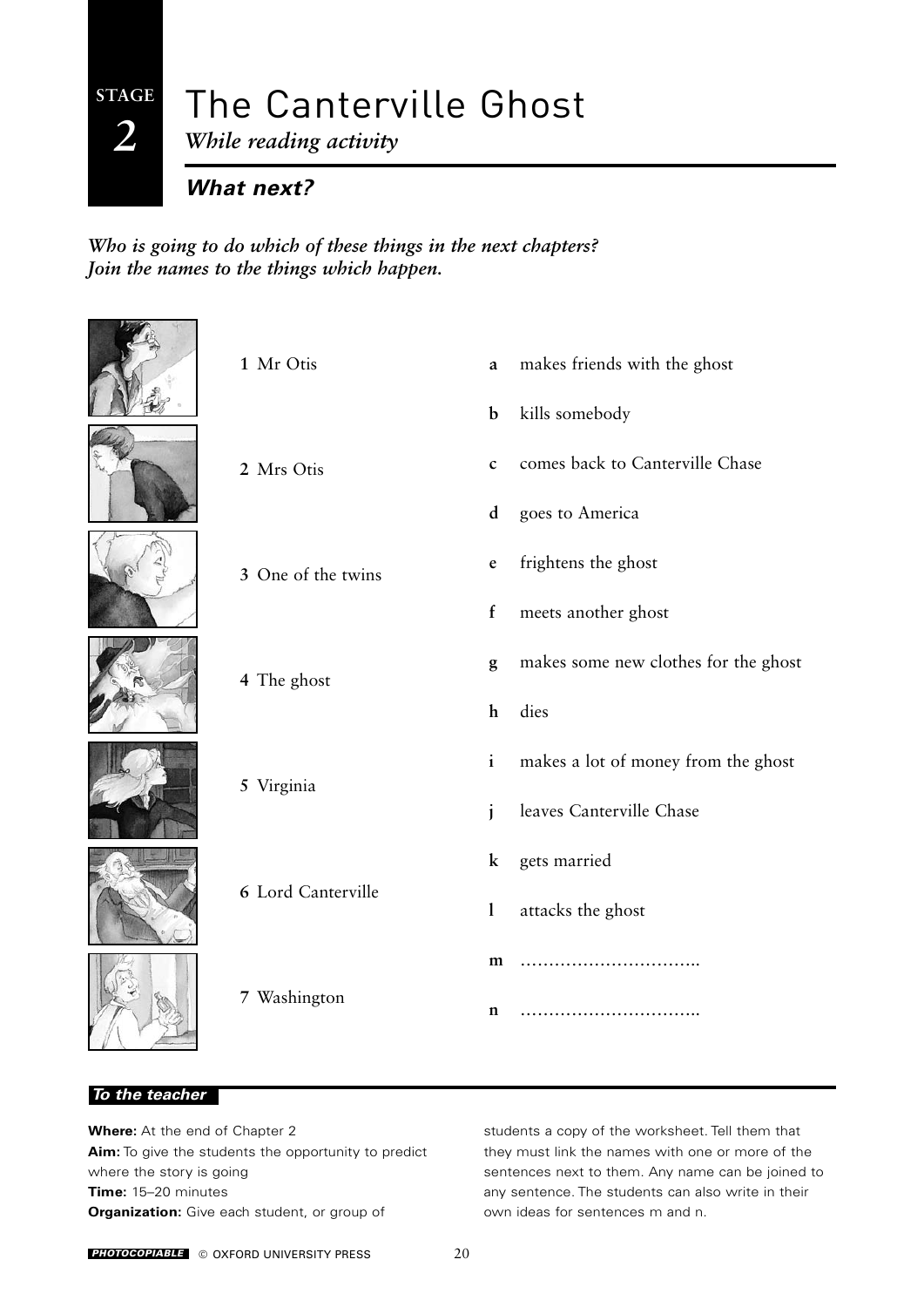**STAGE** *2*

# The Canterville Ghost

*While reading activity*

*What next?*

*Who is going to do which of these things in the next chapters? Join the names to the things which happen.*



#### *To the teacher*

**Where:** At the end of Chapter 2 **Aim:** To give the students the opportunity to predict where the story is going **Time:** 15–20 minutes **Organization:** Give each student, or group of

students a copy of the worksheet. Tell them that they must link the names with one or more of the sentences next to them. Any name can be joined to any sentence. The students can also write in their own ideas for sentences m and n.